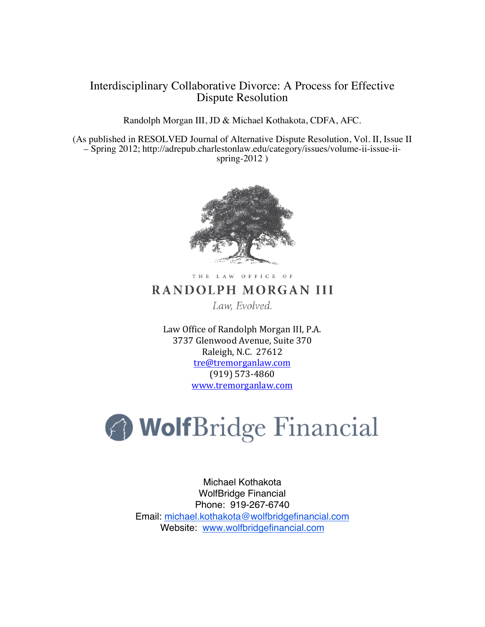# Interdisciplinary Collaborative Divorce: A Process for Effective Dispute Resolution

Randolph Morgan III, JD & Michael Kothakota, CDFA, AFC.

(As published in RESOLVED Journal of Alternative Dispute Resolution, Vol. II, Issue II – Spring 2012; http://adrepub.charlestonlaw.edu/category/issues/volume-ii-issue-iispring-2012 )



THE LAW OFFICE OF

# RANDOLPH MORGAN III

Law, Evolved.

Law Office of Randolph Morgan III, P.A. 3737 Glenwood Avenue, Suite 370 Raleigh, N.C. 27612 tre@tremorganlaw.com (919) 573-4860 www.tremorganlaw.com



Michael Kothakota WolfBridge Financial Phone: 919-267-6740 Email: michael.kothakota@wolfbridgefinancial.com Website: www.wolfbridgefinancial.com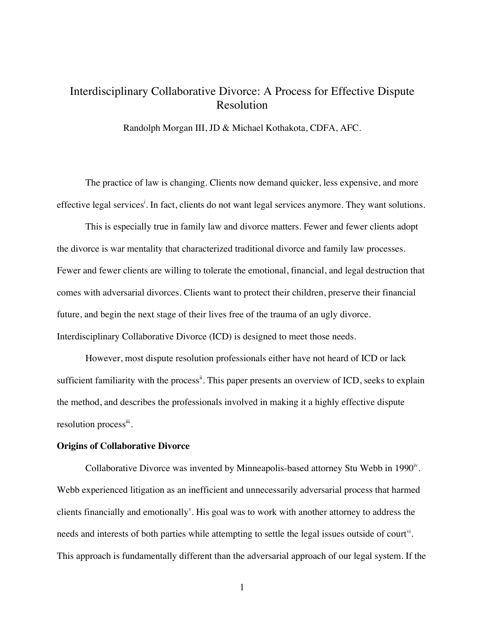# Interdisciplinary Collaborative Divorce: A Process for Effective Dispute Resolution

Randolph Morgan III, JD & Michael Kothakota, CDFA, AFC.

The practice of law is changing. Clients now demand quicker, less expensive, and more effective legal services<sup>i</sup>. In fact, clients do not want legal services anymore. They want solutions.

This is especially true in family law and divorce matters. Fewer and fewer clients adopt the divorce is war mentality that characterized traditional divorce and family law processes. Fewer and fewer clients are willing to tolerate the emotional, financial, and legal destruction that comes with adversarial divorces. Clients want to protect their children, preserve their financial future, and begin the next stage of their lives free of the trauma of an ugly divorce. Interdisciplinary Collaborative Divorce (ICD) is designed to meet those needs.

However, most dispute resolution professionals either have not heard of ICD or lack sufficient familiarity with the process<sup>ii</sup>. This paper presents an overview of ICD, seeks to explain the method, and describes the professionals involved in making it a highly effective dispute resolution process<sup>iii</sup>.

#### **Origins of Collaborative Divorce**

Collaborative Divorce was invented by Minneapolis-based attorney Stu Webb in  $1990^{\circ}$ . Webb experienced litigation as an inefficient and unnecessarily adversarial process that harmed clients financially and emotionally<sup>v</sup>. His goal was to work with another attorney to address the needs and interests of both parties while attempting to settle the legal issues outside of court<sup>vi</sup>. This approach is fundamentally different than the adversarial approach of our legal system. If the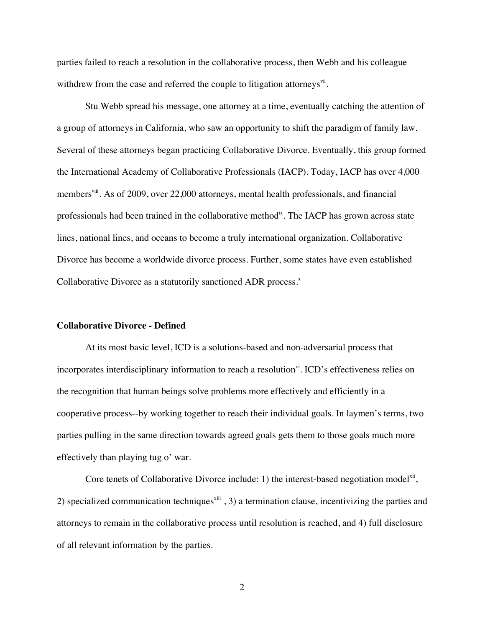parties failed to reach a resolution in the collaborative process, then Webb and his colleague withdrew from the case and referred the couple to litigation attorneys<sup>vii</sup>.

Stu Webb spread his message, one attorney at a time, eventually catching the attention of a group of attorneys in California, who saw an opportunity to shift the paradigm of family law. Several of these attorneys began practicing Collaborative Divorce. Eventually, this group formed the International Academy of Collaborative Professionals (IACP). Today, IACP has over 4,000 members<sup>viii</sup>. As of 2009, over 22,000 attorneys, mental health professionals, and financial professionals had been trained in the collaborative methodix. The IACP has grown across state lines, national lines, and oceans to become a truly international organization. Collaborative Divorce has become a worldwide divorce process. Further, some states have even established Collaborative Divorce as a statutorily sanctioned ADR process.<sup>x</sup>

## **Collaborative Divorce - Defined**

At its most basic level, ICD is a solutions-based and non-adversarial process that incorporates interdisciplinary information to reach a resolution $x<sup>i</sup>$ . ICD's effectiveness relies on the recognition that human beings solve problems more effectively and efficiently in a cooperative process--by working together to reach their individual goals. In laymen's terms, two parties pulling in the same direction towards agreed goals gets them to those goals much more effectively than playing tug o' war.

Core tenets of Collaborative Divorce include: 1) the interest-based negotiation model<sup>xii</sup>, 2) specialized communication techniques<sup>xiii</sup>, 3) a termination clause, incentivizing the parties and attorneys to remain in the collaborative process until resolution is reached, and 4) full disclosure of all relevant information by the parties.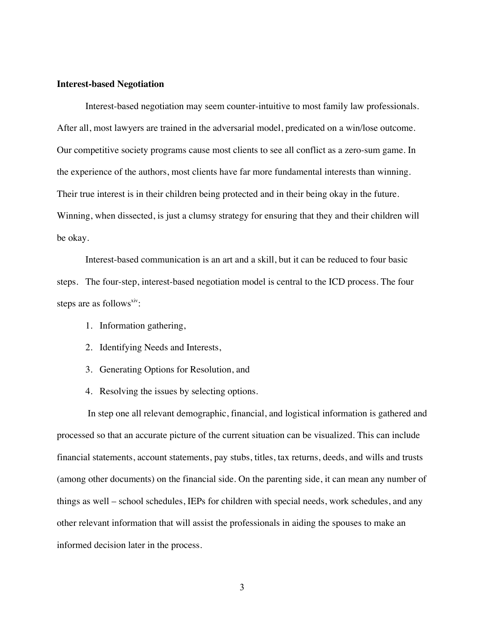## **Interest-based Negotiation**

Interest-based negotiation may seem counter-intuitive to most family law professionals. After all, most lawyers are trained in the adversarial model, predicated on a win/lose outcome. Our competitive society programs cause most clients to see all conflict as a zero-sum game. In the experience of the authors, most clients have far more fundamental interests than winning. Their true interest is in their children being protected and in their being okay in the future. Winning, when dissected, is just a clumsy strategy for ensuring that they and their children will be okay.

Interest-based communication is an art and a skill, but it can be reduced to four basic steps. The four-step, interest-based negotiation model is central to the ICD process. The four steps are as follows $x<sub>iv</sub>$ :

- 1. Information gathering,
- 2. Identifying Needs and Interests,
- 3. Generating Options for Resolution, and
- 4. Resolving the issues by selecting options.

In step one all relevant demographic, financial, and logistical information is gathered and processed so that an accurate picture of the current situation can be visualized. This can include financial statements, account statements, pay stubs, titles, tax returns, deeds, and wills and trusts (among other documents) on the financial side. On the parenting side, it can mean any number of things as well – school schedules, IEPs for children with special needs, work schedules, and any other relevant information that will assist the professionals in aiding the spouses to make an informed decision later in the process.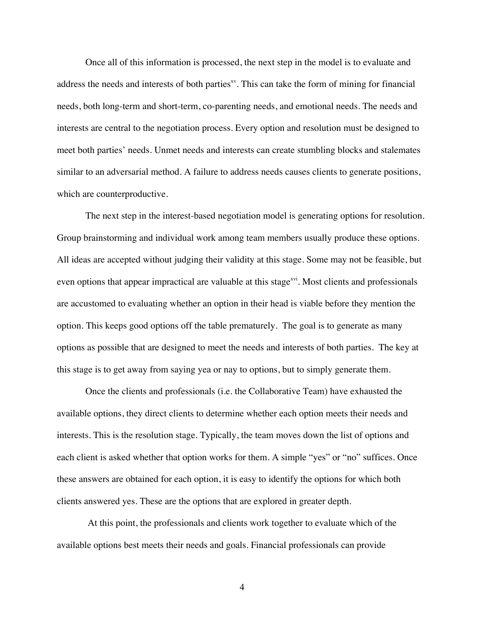Once all of this information is processed, the next step in the model is to evaluate and address the needs and interests of both parties $x<sub>v</sub>$ . This can take the form of mining for financial needs, both long-term and short-term, co-parenting needs, and emotional needs. The needs and interests are central to the negotiation process. Every option and resolution must be designed to meet both parties' needs. Unmet needs and interests can create stumbling blocks and stalemates similar to an adversarial method. A failure to address needs causes clients to generate positions, which are counterproductive.

The next step in the interest-based negotiation model is generating options for resolution. Group brainstorming and individual work among team members usually produce these options. All ideas are accepted without judging their validity at this stage. Some may not be feasible, but even options that appear impractical are valuable at this stage<sup> $xvi$ </sup>. Most clients and professionals are accustomed to evaluating whether an option in their head is viable before they mention the option. This keeps good options off the table prematurely. The goal is to generate as many options as possible that are designed to meet the needs and interests of both parties. The key at this stage is to get away from saying yea or nay to options, but to simply generate them.

Once the clients and professionals (i.e. the Collaborative Team) have exhausted the available options, they direct clients to determine whether each option meets their needs and interests. This is the resolution stage. Typically, the team moves down the list of options and each client is asked whether that option works for them. A simple "yes" or "no" suffices. Once these answers are obtained for each option, it is easy to identify the options for which both clients answered yes. These are the options that are explored in greater depth.

At this point, the professionals and clients work together to evaluate which of the available options best meets their needs and goals. Financial professionals can provide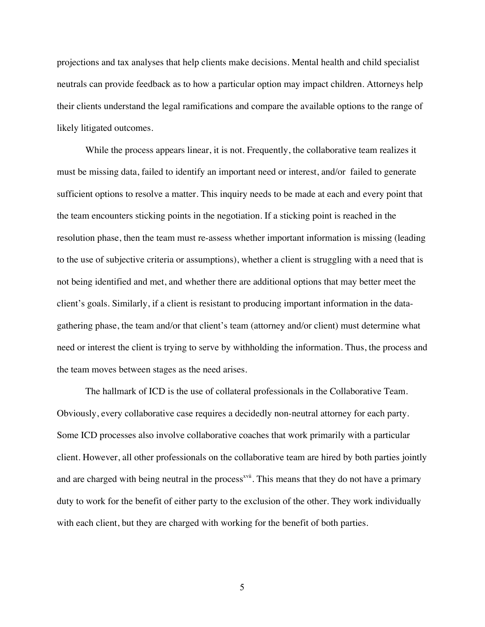projections and tax analyses that help clients make decisions. Mental health and child specialist neutrals can provide feedback as to how a particular option may impact children. Attorneys help their clients understand the legal ramifications and compare the available options to the range of likely litigated outcomes.

While the process appears linear, it is not. Frequently, the collaborative team realizes it must be missing data, failed to identify an important need or interest, and/or failed to generate sufficient options to resolve a matter. This inquiry needs to be made at each and every point that the team encounters sticking points in the negotiation. If a sticking point is reached in the resolution phase, then the team must re-assess whether important information is missing (leading to the use of subjective criteria or assumptions), whether a client is struggling with a need that is not being identified and met, and whether there are additional options that may better meet the client's goals. Similarly, if a client is resistant to producing important information in the datagathering phase, the team and/or that client's team (attorney and/or client) must determine what need or interest the client is trying to serve by withholding the information. Thus, the process and the team moves between stages as the need arises.

The hallmark of ICD is the use of collateral professionals in the Collaborative Team. Obviously, every collaborative case requires a decidedly non-neutral attorney for each party. Some ICD processes also involve collaborative coaches that work primarily with a particular client. However, all other professionals on the collaborative team are hired by both parties jointly and are charged with being neutral in the process<sup>xvii</sup>. This means that they do not have a primary duty to work for the benefit of either party to the exclusion of the other. They work individually with each client, but they are charged with working for the benefit of both parties.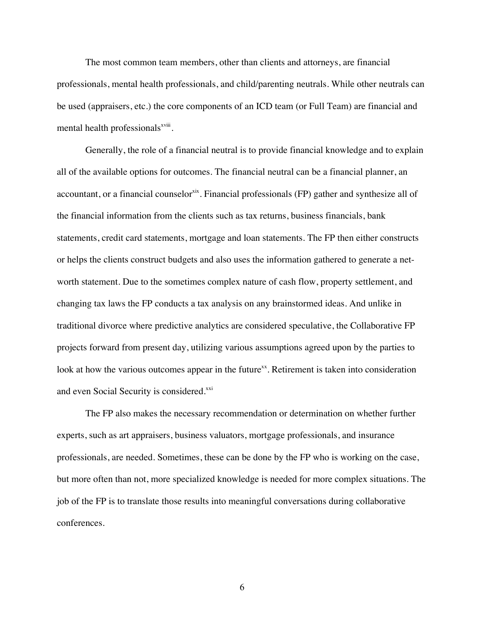The most common team members, other than clients and attorneys, are financial professionals, mental health professionals, and child/parenting neutrals. While other neutrals can be used (appraisers, etc.) the core components of an ICD team (or Full Team) are financial and mental health professionals<sup>xviii</sup>.

Generally, the role of a financial neutral is to provide financial knowledge and to explain all of the available options for outcomes. The financial neutral can be a financial planner, an accountant, or a financial counselor<sup>xix</sup>. Financial professionals (FP) gather and synthesize all of the financial information from the clients such as tax returns, business financials, bank statements, credit card statements, mortgage and loan statements. The FP then either constructs or helps the clients construct budgets and also uses the information gathered to generate a networth statement. Due to the sometimes complex nature of cash flow, property settlement, and changing tax laws the FP conducts a tax analysis on any brainstormed ideas. And unlike in traditional divorce where predictive analytics are considered speculative, the Collaborative FP projects forward from present day, utilizing various assumptions agreed upon by the parties to look at how the various outcomes appear in the future<sup>xx</sup>. Retirement is taken into consideration and even Social Security is considered.<sup>xxi</sup>

The FP also makes the necessary recommendation or determination on whether further experts, such as art appraisers, business valuators, mortgage professionals, and insurance professionals, are needed. Sometimes, these can be done by the FP who is working on the case, but more often than not, more specialized knowledge is needed for more complex situations. The job of the FP is to translate those results into meaningful conversations during collaborative conferences.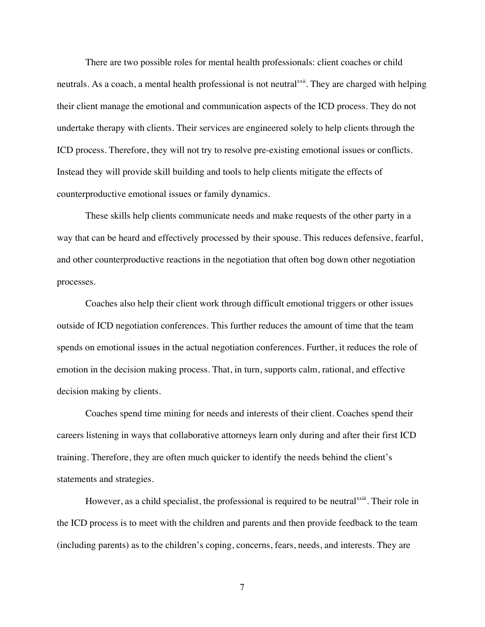There are two possible roles for mental health professionals: client coaches or child neutrals. As a coach, a mental health professional is not neutral<sup>xxii</sup>. They are charged with helping their client manage the emotional and communication aspects of the ICD process. They do not undertake therapy with clients. Their services are engineered solely to help clients through the ICD process. Therefore, they will not try to resolve pre-existing emotional issues or conflicts. Instead they will provide skill building and tools to help clients mitigate the effects of counterproductive emotional issues or family dynamics.

These skills help clients communicate needs and make requests of the other party in a way that can be heard and effectively processed by their spouse. This reduces defensive, fearful, and other counterproductive reactions in the negotiation that often bog down other negotiation processes.

Coaches also help their client work through difficult emotional triggers or other issues outside of ICD negotiation conferences. This further reduces the amount of time that the team spends on emotional issues in the actual negotiation conferences. Further, it reduces the role of emotion in the decision making process. That, in turn, supports calm, rational, and effective decision making by clients.

Coaches spend time mining for needs and interests of their client. Coaches spend their careers listening in ways that collaborative attorneys learn only during and after their first ICD training. Therefore, they are often much quicker to identify the needs behind the client's statements and strategies.

However, as a child specialist, the professional is required to be neutral<sup>xxii</sup>. Their role in the ICD process is to meet with the children and parents and then provide feedback to the team (including parents) as to the children's coping, concerns, fears, needs, and interests. They are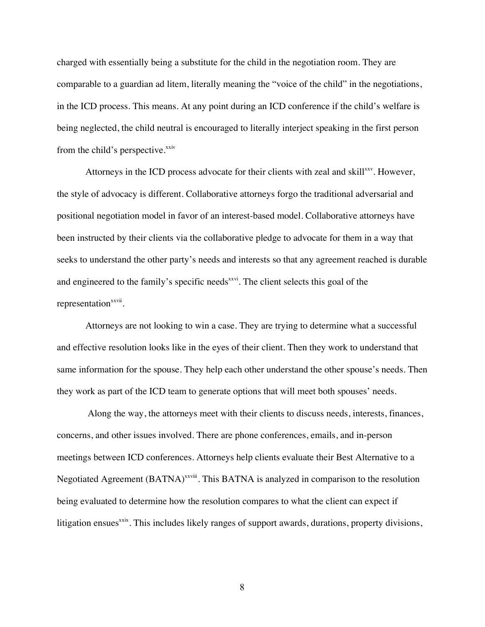charged with essentially being a substitute for the child in the negotiation room. They are comparable to a guardian ad litem, literally meaning the "voice of the child" in the negotiations, in the ICD process. This means. At any point during an ICD conference if the child's welfare is being neglected, the child neutral is encouraged to literally interject speaking in the first person from the child's perspective.<sup>xxiv</sup>

Attorneys in the ICD process advocate for their clients with zeal and skill<sup>xxv</sup>. However, the style of advocacy is different. Collaborative attorneys forgo the traditional adversarial and positional negotiation model in favor of an interest-based model. Collaborative attorneys have been instructed by their clients via the collaborative pledge to advocate for them in a way that seeks to understand the other party's needs and interests so that any agreement reached is durable and engineered to the family's specific needs<sup>xxvi</sup>. The client selects this goal of the representation $x$ <sub>xxvii</sub>.

Attorneys are not looking to win a case. They are trying to determine what a successful and effective resolution looks like in the eyes of their client. Then they work to understand that same information for the spouse. They help each other understand the other spouse's needs. Then they work as part of the ICD team to generate options that will meet both spouses' needs.

Along the way, the attorneys meet with their clients to discuss needs, interests, finances, concerns, and other issues involved. There are phone conferences, emails, and in-person meetings between ICD conferences. Attorneys help clients evaluate their Best Alternative to a Negotiated Agreement (BATNA)<sup>xxviii</sup>. This BATNA is analyzed in comparison to the resolution being evaluated to determine how the resolution compares to what the client can expect if litigation ensues<sup>xxix</sup>. This includes likely ranges of support awards, durations, property divisions,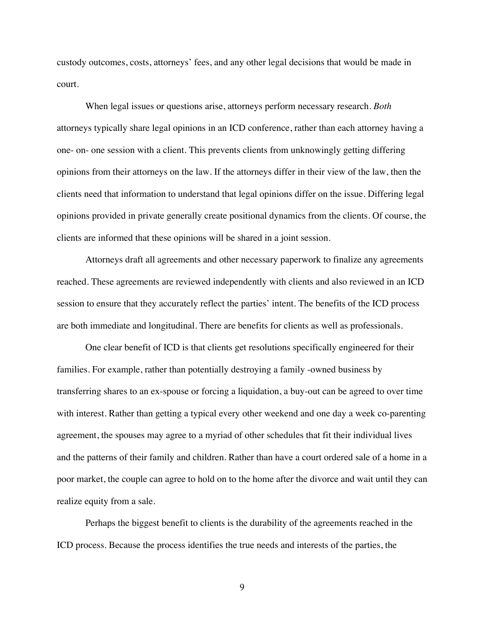custody outcomes, costs, attorneys' fees, and any other legal decisions that would be made in court.

When legal issues or questions arise, attorneys perform necessary research. *Both* attorneys typically share legal opinions in an ICD conference, rather than each attorney having a one- on- one session with a client. This prevents clients from unknowingly getting differing opinions from their attorneys on the law. If the attorneys differ in their view of the law, then the clients need that information to understand that legal opinions differ on the issue. Differing legal opinions provided in private generally create positional dynamics from the clients. Of course, the clients are informed that these opinions will be shared in a joint session.

Attorneys draft all agreements and other necessary paperwork to finalize any agreements reached. These agreements are reviewed independently with clients and also reviewed in an ICD session to ensure that they accurately reflect the parties' intent. The benefits of the ICD process are both immediate and longitudinal. There are benefits for clients as well as professionals.

One clear benefit of ICD is that clients get resolutions specifically engineered for their families. For example, rather than potentially destroying a family -owned business by transferring shares to an ex-spouse or forcing a liquidation, a buy-out can be agreed to over time with interest. Rather than getting a typical every other weekend and one day a week co-parenting agreement, the spouses may agree to a myriad of other schedules that fit their individual lives and the patterns of their family and children. Rather than have a court ordered sale of a home in a poor market, the couple can agree to hold on to the home after the divorce and wait until they can realize equity from a sale.

Perhaps the biggest benefit to clients is the durability of the agreements reached in the ICD process. Because the process identifies the true needs and interests of the parties, the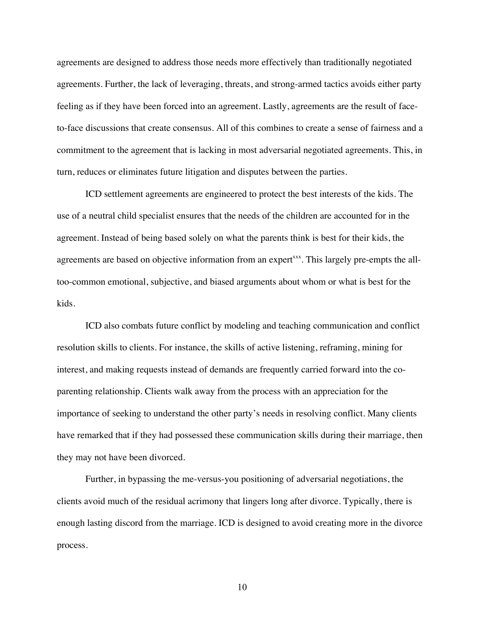agreements are designed to address those needs more effectively than traditionally negotiated agreements. Further, the lack of leveraging, threats, and strong-armed tactics avoids either party feeling as if they have been forced into an agreement. Lastly, agreements are the result of faceto-face discussions that create consensus. All of this combines to create a sense of fairness and a commitment to the agreement that is lacking in most adversarial negotiated agreements. This, in turn, reduces or eliminates future litigation and disputes between the parties.

ICD settlement agreements are engineered to protect the best interests of the kids. The use of a neutral child specialist ensures that the needs of the children are accounted for in the agreement. Instead of being based solely on what the parents think is best for their kids, the agreements are based on objective information from an expert<sup>xxx</sup>. This largely pre-empts the alltoo-common emotional, subjective, and biased arguments about whom or what is best for the kids.

ICD also combats future conflict by modeling and teaching communication and conflict resolution skills to clients. For instance, the skills of active listening, reframing, mining for interest, and making requests instead of demands are frequently carried forward into the coparenting relationship. Clients walk away from the process with an appreciation for the importance of seeking to understand the other party's needs in resolving conflict. Many clients have remarked that if they had possessed these communication skills during their marriage, then they may not have been divorced.

Further, in bypassing the me-versus-you positioning of adversarial negotiations, the clients avoid much of the residual acrimony that lingers long after divorce. Typically, there is enough lasting discord from the marriage. ICD is designed to avoid creating more in the divorce process.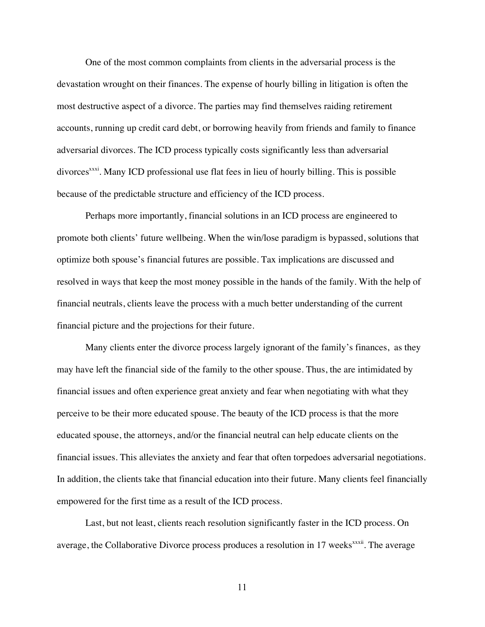One of the most common complaints from clients in the adversarial process is the devastation wrought on their finances. The expense of hourly billing in litigation is often the most destructive aspect of a divorce. The parties may find themselves raiding retirement accounts, running up credit card debt, or borrowing heavily from friends and family to finance adversarial divorces. The ICD process typically costs significantly less than adversarial divorces<sup>xxxi</sup>. Many ICD professional use flat fees in lieu of hourly billing. This is possible because of the predictable structure and efficiency of the ICD process.

Perhaps more importantly, financial solutions in an ICD process are engineered to promote both clients' future wellbeing. When the win/lose paradigm is bypassed, solutions that optimize both spouse's financial futures are possible. Tax implications are discussed and resolved in ways that keep the most money possible in the hands of the family. With the help of financial neutrals, clients leave the process with a much better understanding of the current financial picture and the projections for their future.

Many clients enter the divorce process largely ignorant of the family's finances, as they may have left the financial side of the family to the other spouse. Thus, the are intimidated by financial issues and often experience great anxiety and fear when negotiating with what they perceive to be their more educated spouse. The beauty of the ICD process is that the more educated spouse, the attorneys, and/or the financial neutral can help educate clients on the financial issues. This alleviates the anxiety and fear that often torpedoes adversarial negotiations. In addition, the clients take that financial education into their future. Many clients feel financially empowered for the first time as a result of the ICD process.

Last, but not least, clients reach resolution significantly faster in the ICD process. On average, the Collaborative Divorce process produces a resolution in 17 weeks<sup>xxxii</sup>. The average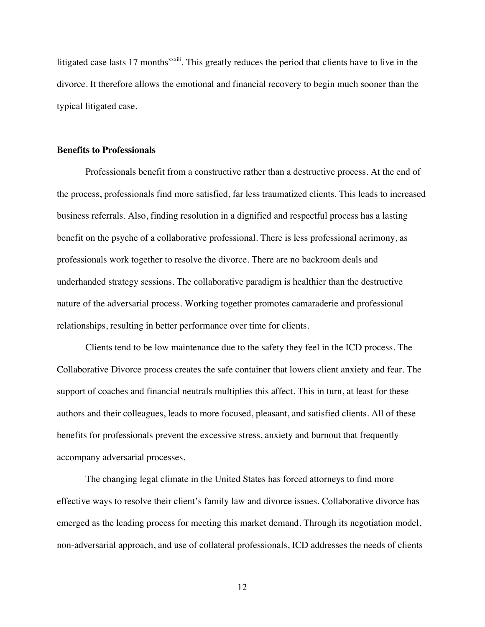litigated case lasts 17 months<sup>xxxiii</sup>. This greatly reduces the period that clients have to live in the divorce. It therefore allows the emotional and financial recovery to begin much sooner than the typical litigated case.

## **Benefits to Professionals**

Professionals benefit from a constructive rather than a destructive process. At the end of the process, professionals find more satisfied, far less traumatized clients. This leads to increased business referrals. Also, finding resolution in a dignified and respectful process has a lasting benefit on the psyche of a collaborative professional. There is less professional acrimony, as professionals work together to resolve the divorce. There are no backroom deals and underhanded strategy sessions. The collaborative paradigm is healthier than the destructive nature of the adversarial process. Working together promotes camaraderie and professional relationships, resulting in better performance over time for clients.

Clients tend to be low maintenance due to the safety they feel in the ICD process. The Collaborative Divorce process creates the safe container that lowers client anxiety and fear. The support of coaches and financial neutrals multiplies this affect. This in turn, at least for these authors and their colleagues, leads to more focused, pleasant, and satisfied clients. All of these benefits for professionals prevent the excessive stress, anxiety and burnout that frequently accompany adversarial processes.

The changing legal climate in the United States has forced attorneys to find more effective ways to resolve their client's family law and divorce issues. Collaborative divorce has emerged as the leading process for meeting this market demand. Through its negotiation model, non-adversarial approach, and use of collateral professionals, ICD addresses the needs of clients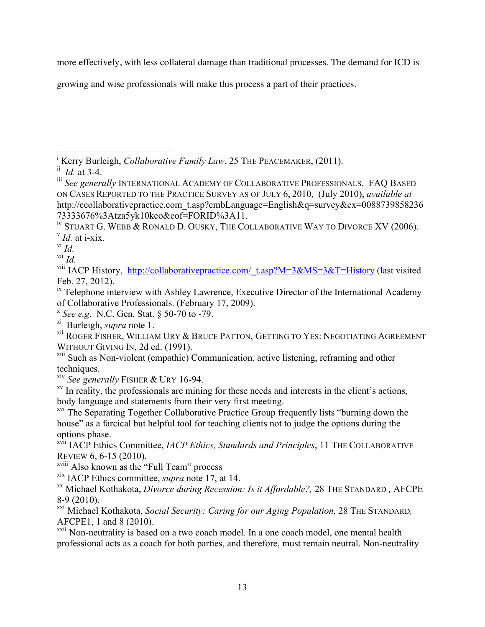more effectively, with less collateral damage than traditional processes. The demand for ICD is

growing and wise professionals will make this process a part of their practices.

<sup>|&</sup>lt;br>i Kerry Burleigh, *Collaborative Family Law*, 25 THE PEACEMAKER, (2011).

 $\overline{d}$ *Id.* at 3-4.

iii *See generally* INTERNATIONAL ACADEMY OF COLLABORATIVE PROFESSIONALS, FAQ BASED ON CASES REPORTED TO THE PRACTICE SURVEY AS OF JULY 6, 2010, (July 2010), *available at* http://ccollaborativepractice.com\_t.asp?cmbLanguage=English&q=survey&cx=0088739858236 73333676%3Atza5yk10keo&cof=FORID%3A11.

<sup>&</sup>lt;sup>iv</sup> Stuart G. Webb & Ronald D. Ousky, The Collaborative Way to Divorce XV (2006).<br><sup>v</sup> *Id.* at i-xix.

vi *Id.*

vii *Id.*

<sup>&</sup>lt;sup>viii</sup> IACP History, http://collaborativepractice.com/ t.asp?M=3&MS=3&T=History (last visited Feb. 27, 2012).

 $\frac{1}{x}$  Telephone interview with Ashley Lawrence, Executive Director of the International Academy of Collaborative Professionals. (February 17, 2009). <sup>x</sup> *See e.g*. N.C. Gen. Stat. § 50-70 to -79.

xi Burleigh, *supra* note 1.

xii ROGER FISHER, WILLIAM URY & BRUCE PATTON, GETTING TO YES: NEGOTIATING AGREEMENT

WITHOUT GIVING IN, 2d ed. (1991).<br><sup>xiii</sup> Such as Non-violent (empathic) Communication, active listening, reframing and other techniques.<br> *xiv See generally* FISHER & URY 16-94.

<sup>&</sup>lt;sup>xv</sup> In reality, the professionals are mining for these needs and interests in the client's actions, body language and statements from their very first meeting.

<sup>&</sup>lt;sup>xvi</sup> The Separating Together Collaborative Practice Group frequently lists "burning down the house" as a farcical but helpful tool for teaching clients not to judge the options during the options phase.

xvii IACP Ethics Committee, *IACP Ethics, Standards and Principles*, 11 THE COLLABORATIVE REVIEW 6, 6-15 (2010).

xviii Also known as the "Full Team" process

xix IACP Ethics committee, *supra* note 17, at 14. xx Michael Kothakota, *Divorce during Recession: Is it Affordable?,* 28 THE STANDARD *,* AFCPE 8-9 (2010).

xxi Michael Kothakota, *Social Security: Caring for our Aging Population,* 28 THE STANDARD*,* AFCPE1, 1 and 8 (2010).

<sup>&</sup>lt;sup>xxii</sup> Non-neutrality is based on a two coach model. In a one coach model, one mental health professional acts as a coach for both parties, and therefore, must remain neutral. Non-neutrality